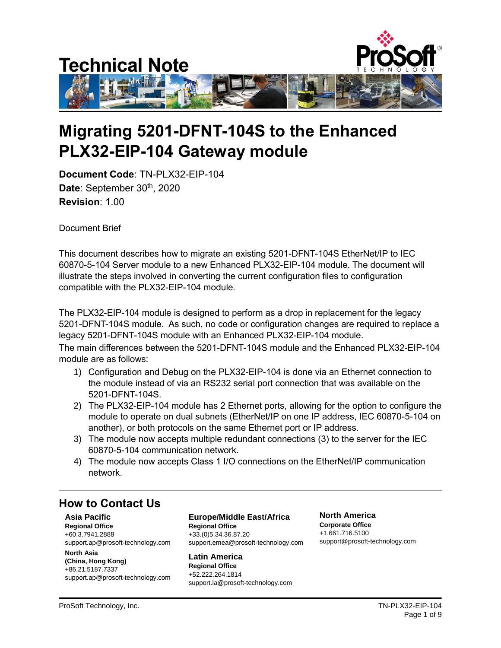

# **Migrating 5201-DFNT-104S to the Enhanced PLX32-EIP-104 Gateway module**

**Document Code**: TN-PLX32-EIP-104 Date: September 30<sup>th</sup>, 2020 **Revision**: 1.00

Document Brief

This document describes how to migrate an existing 5201-DFNT-104S EtherNet/IP to IEC 60870-5-104 Server module to a new Enhanced PLX32-EIP-104 module. The document will illustrate the steps involved in converting the current configuration files to configuration compatible with the PLX32-EIP-104 module.

The PLX32-EIP-104 module is designed to perform as a drop in replacement for the legacy 5201-DFNT-104S module. As such, no code or configuration changes are required to replace a legacy 5201-DFNT-104S module with an Enhanced PLX32-EIP-104 module.

The main differences between the 5201-DFNT-104S module and the Enhanced PLX32-EIP-104 module are as follows:

- 1) Configuration and Debug on the PLX32-EIP-104 is done via an Ethernet connection to the module instead of via an RS232 serial port connection that was available on the 5201-DFNT-104S.
- 2) The PLX32-EIP-104 module has 2 Ethernet ports, allowing for the option to configure the module to operate on dual subnets (EtherNet/IP on one IP address, IEC 60870-5-104 on another), or both protocols on the same Ethernet port or IP address.
- 3) The module now accepts multiple redundant connections (3) to the server for the IEC 60870-5-104 communication network.
- 4) The module now accepts Class 1 I/O connections on the EtherNet/IP communication network.

## **How to Contact Us**

**Asia Pacific Regional Office** +60.3.7941.2888 support.ap@prosoft-technology.com

**North Asia (China, Hong Kong)** +86.21.5187.7337 support.ap@prosoft-technology.com **Europe/Middle East/Africa Regional Office** +33.(0)5.34.36.87.20 support.emea@prosoft-technology.com

**Latin America Regional Office** +52.222.264.1814 support.la@prosoft-technology.com **North America Corporate Office** +1.661.716.5100 support@prosoft-technology.com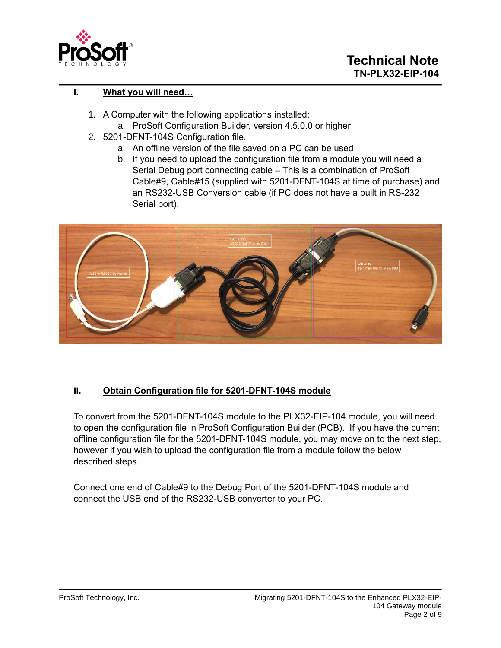

### **I. What you will need…**

- 1. A Computer with the following applications installed:
	- a. ProSoft Configuration Builder, version 4.5.0.0 or higher
- 2. 5201-DFNT-104S Configuration file.
	- a. An offline version of the file saved on a PC can be used
	- b. If you need to upload the configuration file from a module you will need a Serial Debug port connecting cable – This is a combination of ProSoft Cable#9, Cable#15 (supplied with 5201-DFNT-104S at time of purchase) and an RS232-USB Conversion cable (if PC does not have a built in RS-232 Serial port).



#### **II. Obtain Configuration file for 5201-DFNT-104S module**

To convert from the 5201-DFNT-104S module to the PLX32-EIP-104 module, you will need to open the configuration file in ProSoft Configuration Builder (PCB). If you have the current offline configuration file for the 5201-DFNT-104S module, you may move on to the next step, however if you wish to upload the configuration file from a module follow the below described steps.

Connect one end of Cable#9 to the Debug Port of the 5201-DFNT-104S module and connect the USB end of the RS232-USB converter to your PC.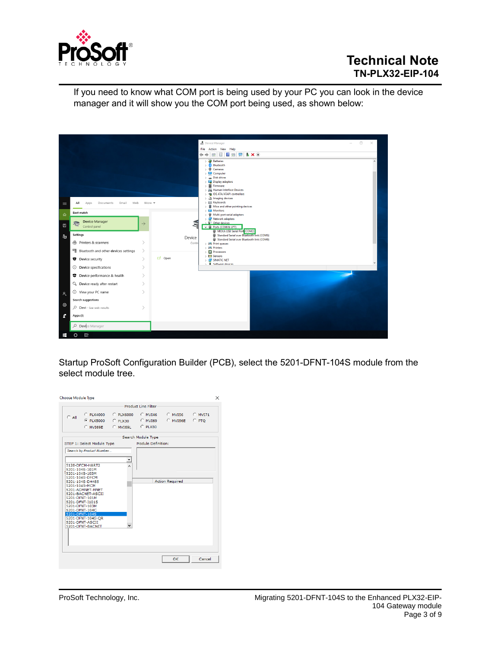

If you need to know what COM port is being used by your PC you can look in the device manager and it will show you the COM port being used, as shown below:



Startup ProSoft Configuration Builder (PCB), select the 5201-DFNT-104S module from the select module tree.

| <b>Choose Module Type</b>                                                                                                                                                                                                                                                                                 |                             |                            |                           | ×       |
|-----------------------------------------------------------------------------------------------------------------------------------------------------------------------------------------------------------------------------------------------------------------------------------------------------------|-----------------------------|----------------------------|---------------------------|---------|
|                                                                                                                                                                                                                                                                                                           |                             | <b>Product Line Filter</b> |                           |         |
| $C$ All<br>C PLX5000 C PLX30<br>C MVT69E C MVT69L                                                                                                                                                                                                                                                         | C PLX4000 C PLX6000 C MVI46 | CMV169<br>$C$ PLX80        | C MVI56 C MVI71<br>CMVISE | $C$ PTO |
|                                                                                                                                                                                                                                                                                                           |                             | Search Module Type         |                           |         |
| STEP 1: Select Module Type<br>Search by Product Number                                                                                                                                                                                                                                                    |                             | Module Definition:         |                           |         |
| 5128-DFCM-HART2<br>5201-104S-101M<br>5201-104S-103M<br>5201-104S-DFCM<br>5201-104S-DH485<br>5201-104S-MCM<br>5201-ADMNET-MNET<br>5201-BACNET-ASCII<br>5201-DENT-101M<br>5201-DFNT-I101S<br>5201-DFNT-103M<br>5201-DFNT-104C<br>5201-DFNT-104S<br>5201-DFNT-104S-QR<br>5201-DFNT-ASCII<br>5201-DFNT-BACNET | $\checkmark$                |                            | <b>Action Required</b>    |         |
|                                                                                                                                                                                                                                                                                                           |                             |                            | OK                        | Cancel  |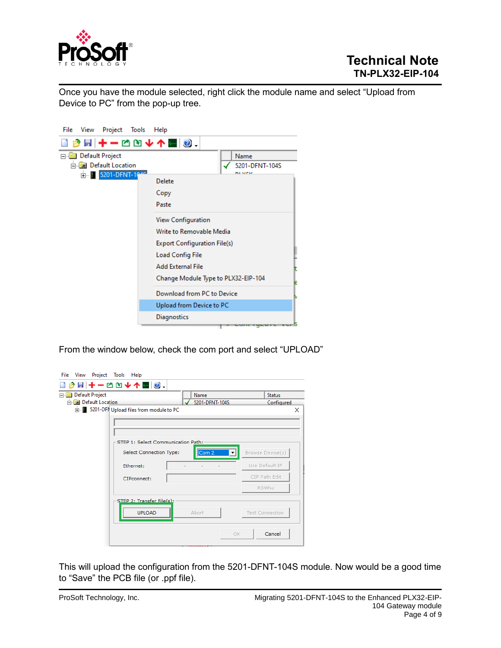

Once you have the module selected, right click the module name and select "Upload from Device to PC" from the pop-up tree.

| File<br>View<br>Project Tools           | Help                                                                                                                                         |                                     |
|-----------------------------------------|----------------------------------------------------------------------------------------------------------------------------------------------|-------------------------------------|
| ■■十一四四十个四◎.                             |                                                                                                                                              |                                     |
| <b>Default Project</b><br>$\frac{1}{2}$ |                                                                                                                                              | Name                                |
| <b>Figure Default Location</b>          |                                                                                                                                              | 5201-DFNT-104S                      |
| E-1                                     | Delete<br>Copy<br>Paste                                                                                                                      | ni vriz                             |
|                                         | View Configuration<br>Write to Removable Media<br><b>Export Configuration File(s)</b><br><b>Load Config File</b><br><b>Add External File</b> | Change Module Type to PLX32-EIP-104 |
|                                         | Download from PC to Device                                                                                                                   |                                     |
|                                         | Upload from Device to PC                                                                                                                     |                                     |
|                                         | Diagnostics                                                                                                                                  |                                     |
|                                         |                                                                                                                                              | CONNIGERIE VER                      |

From the window below, check the com port and select "UPLOAD"

|                              | <b>BH+-CD↓个MO.</b>                           |                |                          |                  |   |
|------------------------------|----------------------------------------------|----------------|--------------------------|------------------|---|
| Default Project              |                                              | Name           |                          | <b>Status</b>    |   |
| <b>Fig. Default Location</b> |                                              | 5201-DFNT-104S |                          | Configured       |   |
|                              | Find 5201-DFN Upload files from module to PC |                |                          |                  | × |
|                              |                                              |                |                          |                  |   |
|                              |                                              |                |                          |                  |   |
|                              | STEP 1: Select Communication Path:           |                |                          |                  |   |
|                              |                                              |                |                          |                  |   |
|                              | Select Connection Type:                      | Com 2          | $\overline{\phantom{a}}$ | Browse Device(s) |   |
|                              | Ethernet:                                    |                |                          | Use Default IP   |   |
|                              | CIPconnect:                                  |                |                          | CIP Path Edit    |   |
|                              |                                              |                |                          | RSWho            |   |
|                              | STEP 2: Transfer File(s):                    |                |                          |                  |   |
|                              | <b>UPLOAD</b>                                | Abort          |                          | Test Connection  |   |
|                              |                                              |                | 0K                       | Cancel           |   |

This will upload the configuration from the 5201-DFNT-104S module. Now would be a good time to "Save" the PCB file (or .ppf file).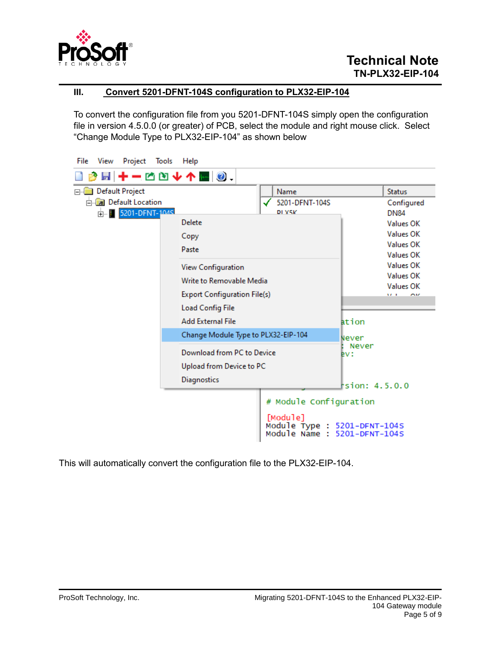

#### **III. Convert 5201-DFNT-104S configuration to PLX32-EIP-104**

To convert the configuration file from you 5201-DFNT-104S simply open the configuration file in version 4.5.0.0 (or greater) of PCB, select the module and right mouse click. Select "Change Module Type to PLX32-EIP-104" as shown below

| File<br>View<br>Project Tools                  | Help                                |                                                                          |                            |
|------------------------------------------------|-------------------------------------|--------------------------------------------------------------------------|----------------------------|
| 圖 ╋ ━ া── Ô Ò <del>↓</del> ↑ M   ◎ .           |                                     |                                                                          |                            |
| <b>Default Project</b><br>$\Box$               |                                     | Name                                                                     | <b>Status</b>              |
| <b>Default Location</b><br>ф.   5201-DFNT-104S |                                     | 5201-DFNT-104S<br>DI Y5K                                                 | Configured<br><b>DN84</b>  |
|                                                | Delete                              |                                                                          | Values OK                  |
|                                                | Copy                                |                                                                          | Values OK                  |
|                                                | Paste                               |                                                                          | Values OK                  |
|                                                |                                     |                                                                          | Values OK                  |
|                                                | <b>View Configuration</b>           | Values OK<br><b>Values OK</b><br>Values OK                               |                            |
|                                                | Write to Removable Media            |                                                                          |                            |
|                                                | <b>Export Configuration File(s)</b> |                                                                          | <b>MA</b> 1<br><b>ALLE</b> |
|                                                | <b>Load Config File</b>             |                                                                          |                            |
|                                                | <b>Add External File</b>            |                                                                          | ation                      |
|                                                | Change Module Type to PLX32-EIP-104 |                                                                          | Never                      |
|                                                | Download from PC to Device          |                                                                          | Never<br>ev:               |
|                                                | Upload from Device to PC            |                                                                          |                            |
|                                                | Diagnostics                         |                                                                          | rsion: 4.5.0.0             |
|                                                |                                     |                                                                          |                            |
|                                                |                                     | # Module Configuration                                                   |                            |
|                                                |                                     | [Module]<br>Module Type : 5201-DFNT-104S<br>Module Name : 5201-DFNT-104S |                            |

This will automatically convert the configuration file to the PLX32-EIP-104.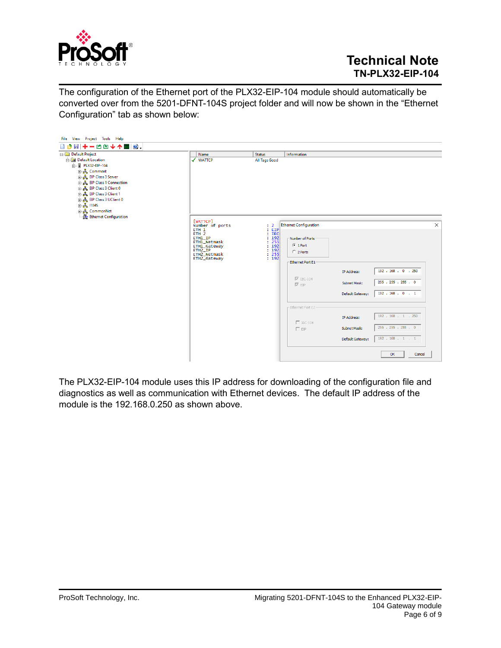

The configuration of the Ethernet port of the PLX32-EIP-104 module should automatically be converted over from the 5201-DFNT-104S project folder and will now be shown in the "Ethernet Configuration" tab as shown below:



The PLX32-EIP-104 module uses this IP address for downloading of the configuration file and diagnostics as well as communication with Ethernet devices. The default IP address of the module is the 192.168.0.250 as shown above.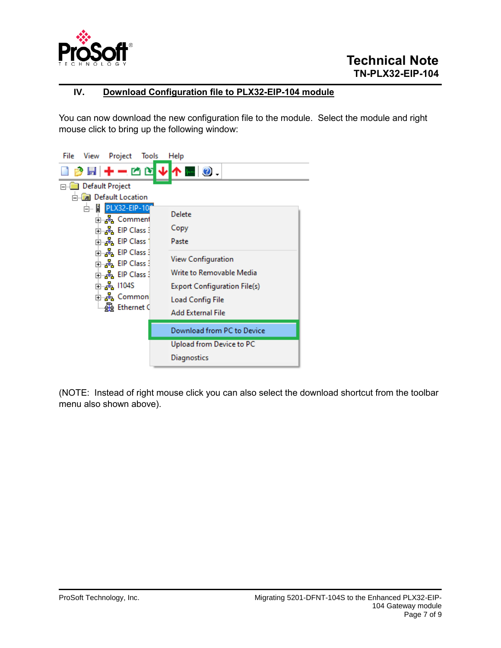

#### **IV. Download Configuration file to PLX32-EIP-104 module**

You can now download the new configuration file to the module. Select the module and right mouse click to bring up the following window:



(NOTE: Instead of right mouse click you can also select the download shortcut from the toolbar menu also shown above).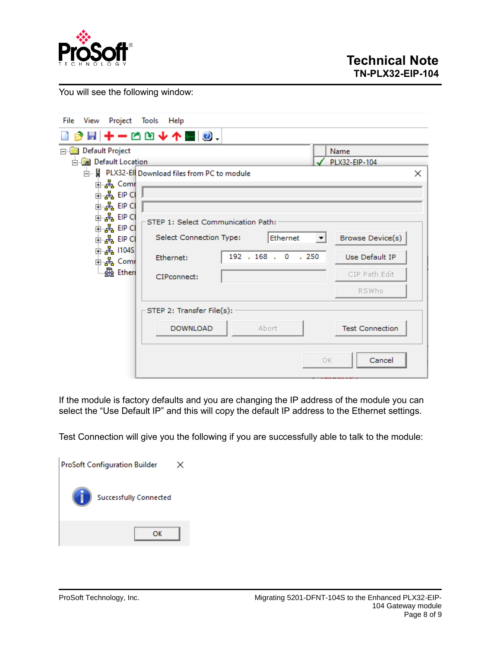

You will see the following window:

| File<br>View                                                                                                                                                         | Project Tools Help                                                                        |                                      |                                                              |
|----------------------------------------------------------------------------------------------------------------------------------------------------------------------|-------------------------------------------------------------------------------------------|--------------------------------------|--------------------------------------------------------------|
|                                                                                                                                                                      | <i></i> , ◙ ★ ★ ★ △ △ ★ ↑ ◙ ◎                                                             |                                      |                                                              |
| Default Project<br><b>E</b> Default Location<br>ட்⊸ <mark>ஃ</mark> Comr<br>ங்… <mark>ஃ</mark> . EIP Cl<br>ங்… <mark>ஃ</mark> EIP CI<br>ங்க <mark>&amp;</mark> EIP Cl | Fig. 1 PLX32-Ell Download files from PC to module                                         |                                      | Name<br>PLX32-EIP-104<br>×                                   |
| ங்… <mark>ஃ</mark> EIP CI<br>ங்… <mark>ஃ</mark> EIP Cl<br><u>ங். ஃ.</u> 1104S<br>ங்⊸ <mark>ஃ</mark> Comr<br><b>Be</b> Ethen                                          | STEP 1: Select Communication Path:<br>Select Connection Type:<br>Ethernet:<br>CIPconnect: | Ethernet<br>◥<br>192 . 168 . 0 . 250 | Browse Device(s)<br>Use Default IP<br>CIP Path Edit<br>RSWho |
|                                                                                                                                                                      | STEP 2: Transfer File(s):<br><b>DOWNLOAD</b>                                              | Abort<br>OK.                         | <b>Test Connection</b><br>Cancel                             |

If the module is factory defaults and you are changing the IP address of the module you can select the "Use Default IP" and this will copy the default IP address to the Ethernet settings.

Test Connection will give you the following if you are successfully able to talk to the module:

| <b>ProSoft Configuration Builder</b> |  |  |
|--------------------------------------|--|--|
| <b>Successfully Connected</b>        |  |  |
| ОK                                   |  |  |